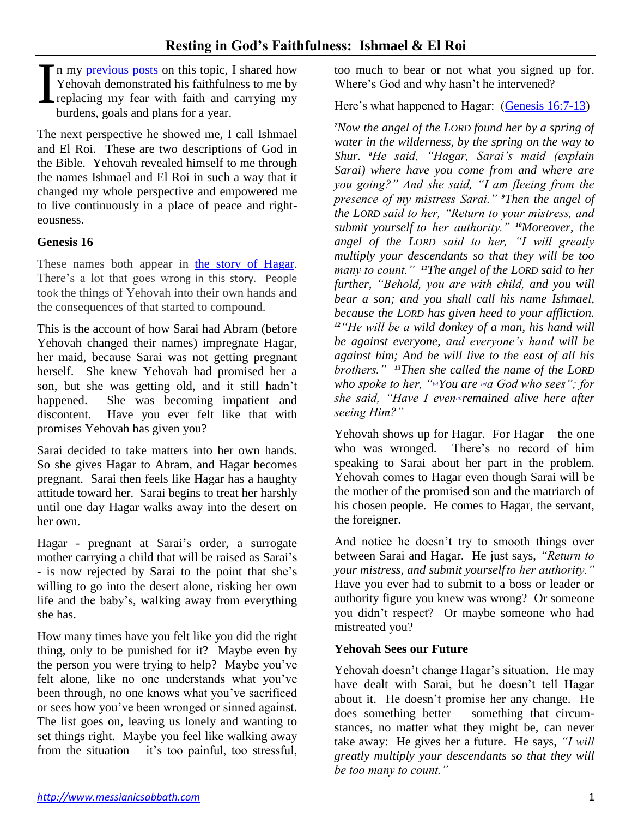n my [previous posts](https://messianicsabbath.com/?s=faithfulness%3A) on this topic, I shared how Yehovah demonstrated his faithfulness to me by replacing my fear with faith and carrying my burdens, goals and plans for a year. I

The next perspective he showed me, I call Ishmael and El Roi. These are two descriptions of God in the Bible. Yehovah revealed himself to me through the names Ishmael and El Roi in such a way that it changed my whole perspective and empowered me to live continuously in a place of peace and righteousness.

# **Genesis 16**

These names both appear in [the story of Hagar](https://www.biblegateway.com/passage/?search=gen.+16&version=NASB). There's a lot that goes wrong in this story. People took the things of Yehovah into their own hands and the consequences of that started to compound.

This is the account of how Sarai had Abram (before Yehovah changed their names) impregnate Hagar, her maid, because Sarai was not getting pregnant herself. She knew Yehovah had promised her a son, but she was getting old, and it still hadn't happened. She was becoming impatient and discontent. Have you ever felt like that with promises Yehovah has given you?

Sarai decided to take matters into her own hands. So she gives Hagar to Abram, and Hagar becomes pregnant. Sarai then feels like Hagar has a haughty attitude toward her. Sarai begins to treat her harshly until one day Hagar walks away into the desert on her own.

Hagar - pregnant at Sarai's order, a surrogate mother carrying a child that will be raised as Sarai's - is now rejected by Sarai to the point that she's willing to go into the desert alone, risking her own life and the baby's, walking away from everything she has.

How many times have you felt like you did the right thing, only to be punished for it? Maybe even by the person you were trying to help? Maybe you've felt alone, like no one understands what you've been through, no one knows what you've sacrificed or sees how you've been wronged or sinned against. The list goes on, leaving us lonely and wanting to set things right. Maybe you feel like walking away from the situation – it's too painful, too stressful,

too much to bear or not what you signed up for. Where's God and why hasn't he intervened?

Here's what happened to Hagar: [\(Genesis](https://www.biblegateway.com/passage/?search=gen.+16&version=NASB) 16:7-13)

*<sup>7</sup>Now the angel of the LORD found her by a spring of water in the wilderness, by the spring on the way to Shur. <sup>8</sup>He said, "Hagar, Sarai's maid (explain Sarai) where have you come from and where are you going?" And she said, "I am fleeing from the presence of my mistress Sarai." <sup>9</sup>Then the angel of the LORD said to her, "Return to your mistress, and submit yourself to her authority." <sup>10</sup>Moreover, the angel of the LORD said to her, "I will greatly multiply your descendants so that they will be too many to count." <sup>11</sup>The angel of the LORD said to her further, "Behold, you are with child, and you will bear a son; and you shall call his name Ishmael, because the LORD has given heed to your affliction. <sup>12</sup>"He will be a wild donkey of a man, his hand will be against everyone, and everyone's hand will be against him; And he will live to the east of all his brothers." <sup>13</sup>Then she called the name of the LORD who spoke to her, "[\[o\]](https://www.biblegateway.com/passage/?search=gen%2016&version=NASB;NIV#fen-NASB-395o)You are [\[p\]](https://www.biblegateway.com/passage/?search=gen%2016&version=NASB;NIV#fen-NASB-395p)a God who sees"; for she said, "Have I even[\[q\]](https://www.biblegateway.com/passage/?search=gen%2016&version=NASB;NIV#fen-NASB-395q)remained alive here after seeing Him?"*

Yehovah shows up for Hagar. For Hagar – the one who was wronged. There's no record of him speaking to Sarai about her part in the problem. Yehovah comes to Hagar even though Sarai will be the mother of the promised son and the matriarch of his chosen people. He comes to Hagar, the servant, the foreigner.

And notice he doesn't try to smooth things over between Sarai and Hagar. He just says, *"Return to your mistress, and submit yourselfto her authority."*  Have you ever had to submit to a boss or leader or authority figure you knew was wrong? Or someone you didn't respect? Or maybe someone who had mistreated you?

## **Yehovah Sees our Future**

Yehovah doesn't change Hagar's situation. He may have dealt with Sarai, but he doesn't tell Hagar about it. He doesn't promise her any change. He does something better – something that circumstances, no matter what they might be, can never take away: He gives her a future. He says, *"I will greatly multiply your descendants so that they will be too many to count."*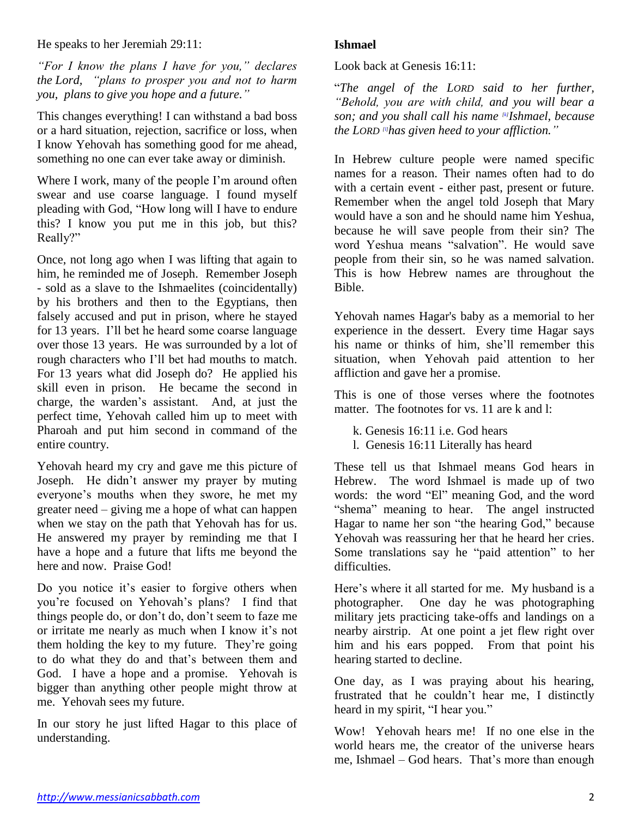He speaks to her Jeremiah 29:11:

*"For I know the plans I have for you," declares the Lord, "plans to prosper you and not to harm you, plans to give you hope and a future."*

This changes everything! I can withstand a bad boss or a hard situation, rejection, sacrifice or loss, when I know Yehovah has something good for me ahead, something no one can ever take away or diminish.

Where I work, many of the people I'm around often swear and use coarse language. I found myself pleading with God, "How long will I have to endure this? I know you put me in this job, but this? Really?"

Once, not long ago when I was lifting that again to him, he reminded me of Joseph. Remember Joseph - sold as a slave to the Ishmaelites (coincidentally) by his brothers and then to the Egyptians, then falsely accused and put in prison, where he stayed for 13 years. I'll bet he heard some coarse language over those 13 years. He was surrounded by a lot of rough characters who I'll bet had mouths to match. For 13 years what did Joseph do? He applied his skill even in prison. He became the second in charge, the warden's assistant. And, at just the perfect time, Yehovah called him up to meet with Pharoah and put him second in command of the entire country.

Yehovah heard my cry and gave me this picture of Joseph. He didn't answer my prayer by muting everyone's mouths when they swore, he met my greater need – giving me a hope of what can happen when we stay on the path that Yehovah has for us. He answered my prayer by reminding me that I have a hope and a future that lifts me beyond the here and now. Praise God!

Do you notice it's easier to forgive others when you're focused on Yehovah's plans? I find that things people do, or don't do, don't seem to faze me or irritate me nearly as much when I know it's not them holding the key to my future. They're going to do what they do and that's between them and God. I have a hope and a promise. Yehovah is bigger than anything other people might throw at me. Yehovah sees my future.

In our story he just lifted Hagar to this place of understanding.

## **Ishmael**

Look back at Genesis 16:11:

"*The angel of the LORD said to her further, "Behold, you are with child, and you will bear a son; and you shall call his name [\[k\]](https://www.biblegateway.com/passage/?search=gen%2016&version=NASB;NIV#fen-NASB-393k) Ishmael, because the LORD [\[l\]](https://www.biblegateway.com/passage/?search=gen%2016&version=NASB;NIV#fen-NASB-393l)has given heed to your affliction."*

In Hebrew culture people were named specific names for a reason. Their names often had to do with a certain event - either past, present or future. Remember when the angel told Joseph that Mary would have a son and he should name him Yeshua, because he will save people from their sin? The word Yeshua means "salvation". He would save people from their sin, so he was named salvation. This is how Hebrew names are throughout the Bible.

Yehovah names Hagar's baby as a memorial to her experience in the dessert. Every time Hagar says his name or thinks of him, she'll remember this situation, when Yehovah paid attention to her affliction and gave her a promise.

This is one of those verses where the footnotes matter. The footnotes for vs. 11 are k and l:

k. Genesis 16:11 i.e. God hears

l. Genesis 16:11 Literally has heard

These tell us that Ishmael means God hears in Hebrew. The word Ishmael is made up of two words: the word "El" meaning God, and the word "shema" meaning to hear. The angel instructed Hagar to name her son "the hearing God," because Yehovah was reassuring her that he heard her cries. Some translations say he "paid attention" to her difficulties.

Here's where it all started for me. My husband is a photographer. One day he was photographing military jets practicing take-offs and landings on a nearby airstrip. At one point a jet flew right over him and his ears popped. From that point his hearing started to decline.

One day, as I was praying about his hearing, frustrated that he couldn't hear me, I distinctly heard in my spirit, "I hear you."

Wow! Yehovah hears me! If no one else in the world hears me, the creator of the universe hears me, Ishmael – God hears. That's more than enough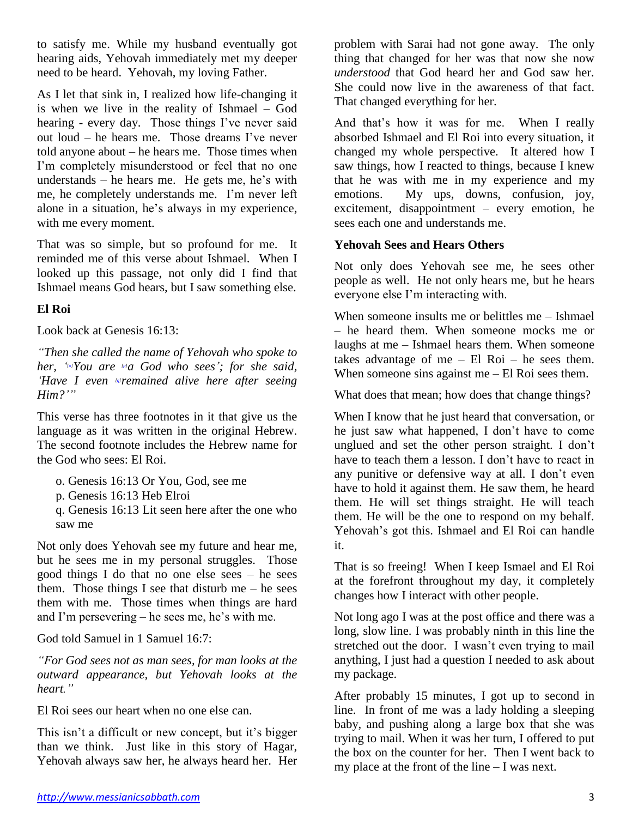to satisfy me. While my husband eventually got hearing aids, Yehovah immediately met my deeper need to be heard. Yehovah, my loving Father.

As I let that sink in, I realized how life-changing it is when we live in the reality of Ishmael – God hearing - every day. Those things I've never said out loud – he hears me. Those dreams I've never told anyone about – he hears me. Those times when I'm completely misunderstood or feel that no one understands – he hears me. He gets me, he's with me, he completely understands me. I'm never left alone in a situation, he's always in my experience, with me every moment.

That was so simple, but so profound for me. It reminded me of this verse about Ishmael. When I looked up this passage, not only did I find that Ishmael means God hears, but I saw something else.

## **El Roi**

Look back at Genesis 16:13:

*"Then she called the name of Yehovah who spoke to her, ' [\[o\]](https://www.biblegateway.com/passage/?search=gen%2016&version=NASB;NIV#fen-NASB-395o)You are [\[p\]](https://www.biblegateway.com/passage/?search=gen%2016&version=NASB;NIV#fen-NASB-395p)a God who sees'; for she said, 'Have I even [\[q\]](https://www.biblegateway.com/passage/?search=gen%2016&version=NASB;NIV#fen-NASB-395q)remained alive here after seeing Him?'"*

This verse has three footnotes in it that give us the language as it was written in the original Hebrew. The second footnote includes the Hebrew name for the God who sees: El Roi.

o. Genesis 16:13 Or You, God, see me

p. Genesis 16:13 Heb Elroi

q. Genesis 16:13 Lit seen here after the one who saw me

Not only does Yehovah see my future and hear me, but he sees me in my personal struggles. Those good things I do that no one else sees – he sees them. Those things I see that disturb me  $-$  he sees them with me. Those times when things are hard and I'm persevering – he sees me, he's with me.

God told Samuel in 1 Samuel 16:7:

*"For God sees not as man sees, for man looks at the outward appearance, but Yehovah looks at the heart."*

El Roi sees our heart when no one else can.

This isn't a difficult or new concept, but it's bigger than we think. Just like in this story of Hagar, Yehovah always saw her, he always heard her. Her

problem with Sarai had not gone away. The only thing that changed for her was that now she now *understood* that God heard her and God saw her. She could now live in the awareness of that fact. That changed everything for her.

And that's how it was for me. When I really absorbed Ishmael and El Roi into every situation, it changed my whole perspective. It altered how I saw things, how I reacted to things, because I knew that he was with me in my experience and my emotions. My ups, downs, confusion, joy, excitement, disappointment – every emotion, he sees each one and understands me.

## **Yehovah Sees and Hears Others**

Not only does Yehovah see me, he sees other people as well. He not only hears me, but he hears everyone else I'm interacting with.

When someone insults me or belittles me – Ishmael – he heard them. When someone mocks me or laughs at me – Ishmael hears them. When someone takes advantage of me  $-$  El Roi  $-$  he sees them. When someone sins against me – El Roi sees them.

What does that mean; how does that change things?

When I know that he just heard that conversation, or he just saw what happened, I don't have to come unglued and set the other person straight. I don't have to teach them a lesson. I don't have to react in any punitive or defensive way at all. I don't even have to hold it against them. He saw them, he heard them. He will set things straight. He will teach them. He will be the one to respond on my behalf. Yehovah's got this. Ishmael and El Roi can handle it.

That is so freeing! When I keep Ismael and El Roi at the forefront throughout my day, it completely changes how I interact with other people.

Not long ago I was at the post office and there was a long, slow line. I was probably ninth in this line the stretched out the door. I wasn't even trying to mail anything, I just had a question I needed to ask about my package.

After probably 15 minutes, I got up to second in line. In front of me was a lady holding a sleeping baby, and pushing along a large box that she was trying to mail. When it was her turn, I offered to put the box on the counter for her. Then I went back to my place at the front of the line – I was next.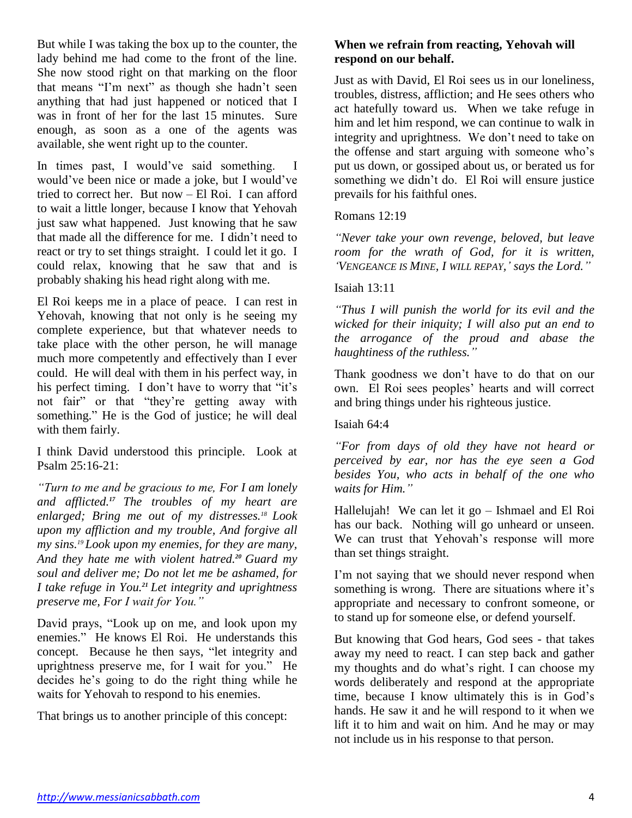But while I was taking the box up to the counter, the lady behind me had come to the front of the line. She now stood right on that marking on the floor that means "I'm next" as though she hadn't seen anything that had just happened or noticed that I was in front of her for the last 15 minutes. Sure enough, as soon as a one of the agents was available, she went right up to the counter.

In times past, I would've said something. I would've been nice or made a joke, but I would've tried to correct her. But now – El Roi. I can afford to wait a little longer, because I know that Yehovah just saw what happened. Just knowing that he saw that made all the difference for me. I didn't need to react or try to set things straight. I could let it go. I could relax, knowing that he saw that and is probably shaking his head right along with me.

El Roi keeps me in a place of peace. I can rest in Yehovah, knowing that not only is he seeing my complete experience, but that whatever needs to take place with the other person, he will manage much more competently and effectively than I ever could. He will deal with them in his perfect way, in his perfect timing. I don't have to worry that "it's not fair" or that "they're getting away with something." He is the God of justice; he will deal with them fairly.

I think David understood this principle. Look at Psalm 25:16-21:

*"Turn to me and be gracious to me, For I am lonely and afflicted.<sup>17</sup> The troubles of my heart are enlarged; Bring me out of my distresses.<sup>18</sup> Look upon my affliction and my trouble, And forgive all my sins.<sup>19</sup> Look upon my enemies, for they are many, And they hate me with violent hatred.<sup>20</sup> Guard my soul and deliver me; Do not let me be ashamed, for I take refuge in You.<sup>21</sup> Let integrity and uprightness preserve me, For I wait for You."*

David prays, "Look up on me, and look upon my enemies." He knows El Roi. He understands this concept. Because he then says, "let integrity and uprightness preserve me, for I wait for you." He decides he's going to do the right thing while he waits for Yehovah to respond to his enemies.

That brings us to another principle of this concept:

## **When we refrain from reacting, Yehovah will respond on our behalf.**

Just as with David, El Roi sees us in our loneliness, troubles, distress, affliction; and He sees others who act hatefully toward us. When we take refuge in him and let him respond, we can continue to walk in integrity and uprightness. We don't need to take on the offense and start arguing with someone who's put us down, or gossiped about us, or berated us for something we didn't do. El Roi will ensure justice prevails for his faithful ones.

Romans 12:19

*"Never take your own revenge, beloved, but leave room for the wrath of God, for it is written, 'VENGEANCE IS MINE, I WILL REPAY,' says the Lord."*

Isaiah 13:11

*"Thus I will punish the world for its evil and the wicked for their iniquity; I will also put an end to the arrogance of the proud and abase the haughtiness of the ruthless."*

Thank goodness we don't have to do that on our own. El Roi sees peoples' hearts and will correct and bring things under his righteous justice.

Isaiah 64:4

*"For from days of old they have not heard or perceived by ear, nor has the eye seen a God besides You, who acts in behalf of the one who waits for Him."*

Hallelujah! We can let it go – Ishmael and El Roi has our back. Nothing will go unheard or unseen. We can trust that Yehovah's response will more than set things straight.

I'm not saying that we should never respond when something is wrong. There are situations where it's appropriate and necessary to confront someone, or to stand up for someone else, or defend yourself.

But knowing that God hears, God sees - that takes away my need to react. I can step back and gather my thoughts and do what's right. I can choose my words deliberately and respond at the appropriate time, because I know ultimately this is in God's hands. He saw it and he will respond to it when we lift it to him and wait on him. And he may or may not include us in his response to that person.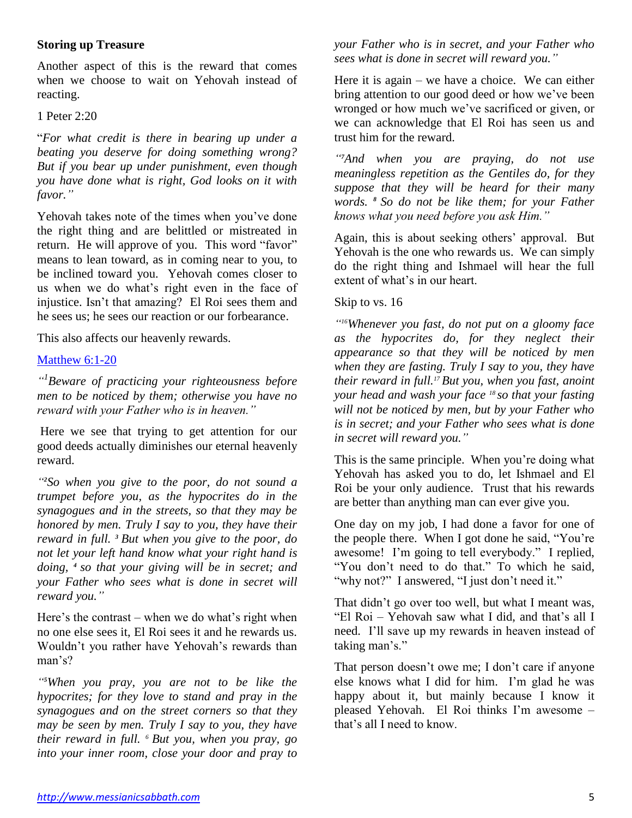### **Storing up Treasure**

Another aspect of this is the reward that comes when we choose to wait on Yehovah instead of reacting.

### 1 Peter 2:20

"*For what credit is there in bearing up under a beating you deserve for doing something wrong? But if you bear up under punishment, even though you have done what is right, God looks on it with favor."*

Yehovah takes note of the times when you've done the right thing and are belittled or mistreated in return. He will approve of you. This word "favor" means to lean toward, as in coming near to you, to be inclined toward you. Yehovah comes closer to us when we do what's right even in the face of injustice. Isn't that amazing? El Roi sees them and he sees us; he sees our reaction or our forbearance.

This also affects our heavenly rewards.

### [Matthew](https://www.biblegateway.com/passage/?search=matt.+6%3A1-20&version=NASB) 6:1-20

*" 1 Beware of practicing your righteousness before men to be noticed by them; otherwise you have no reward with your Father who is in heaven."*

Here we see that trying to get attention for our good deeds actually diminishes our eternal heavenly reward.

*" <sup>2</sup>So when you give to the poor, do not sound a trumpet before you, as the hypocrites do in the synagogues and in the streets, so that they may be honored by men. Truly I say to you, they have their reward in full. <sup>3</sup> But when you give to the poor, do not let your left hand know what your right hand is doing, <sup>4</sup> so that your giving will be in secret; and your Father who sees what is done in secret will reward you."*

Here's the contrast – when we do what's right when no one else sees it, El Roi sees it and he rewards us. Wouldn't you rather have Yehovah's rewards than man's?

*" <sup>5</sup>When you pray, you are not to be like the hypocrites; for they love to stand and pray in the synagogues and on the street corners so that they may be seen by men. Truly I say to you, they have their reward in full. <sup>6</sup> But you, when you pray, go into your inner room, close your door and pray to* 

*your Father who is in secret, and your Father who sees what is done in secret will reward you."*

Here it is again – we have a choice. We can either bring attention to our good deed or how we've been wronged or how much we've sacrificed or given, or we can acknowledge that El Roi has seen us and trust him for the reward.

*" <sup>7</sup>And when you are praying, do not use meaningless repetition as the Gentiles do, for they suppose that they will be heard for their many words. <sup>8</sup> So do not be like them; for your Father knows what you need before you ask Him."*

Again, this is about seeking others' approval. But Yehovah is the one who rewards us. We can simply do the right thing and Ishmael will hear the full extent of what's in our heart.

#### Skip to vs. 16

*" <sup>16</sup>Whenever you fast, do not put on a gloomy face as the hypocrites do, for they neglect their appearance so that they will be noticed by men when they are fasting. Truly I say to you, they have their reward in full.<sup>17</sup> But you, when you fast, anoint your head and wash your face <sup>18</sup> so that your fasting will not be noticed by men, but by your Father who is in secret; and your Father who sees what is done in secret will reward you."*

This is the same principle. When you're doing what Yehovah has asked you to do, let Ishmael and El Roi be your only audience. Trust that his rewards are better than anything man can ever give you.

One day on my job, I had done a favor for one of the people there. When I got done he said, "You're awesome! I'm going to tell everybody." I replied, "You don't need to do that." To which he said, "why not?" I answered, "I just don't need it."

That didn't go over too well, but what I meant was, "El Roi – Yehovah saw what I did, and that's all I need. I'll save up my rewards in heaven instead of taking man's."

That person doesn't owe me; I don't care if anyone else knows what I did for him. I'm glad he was happy about it, but mainly because I know it pleased Yehovah. El Roi thinks I'm awesome – that's all I need to know.